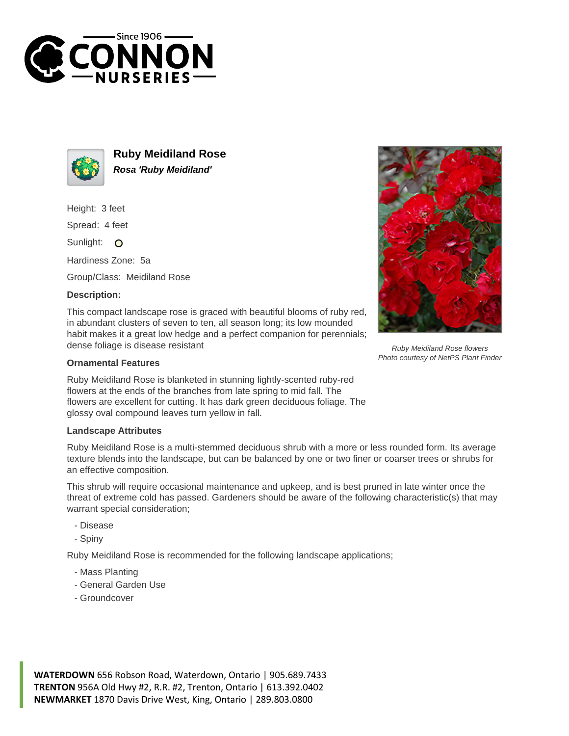



**Ruby Meidiland Rose Rosa 'Ruby Meidiland'**

Height: 3 feet

Spread: 4 feet

Sunlight: O

Hardiness Zone: 5a

Group/Class: Meidiland Rose

## **Description:**

This compact landscape rose is graced with beautiful blooms of ruby red, in abundant clusters of seven to ten, all season long; its low mounded habit makes it a great low hedge and a perfect companion for perennials; dense foliage is disease resistant

## **Ornamental Features**

Ruby Meidiland Rose is blanketed in stunning lightly-scented ruby-red flowers at the ends of the branches from late spring to mid fall. The flowers are excellent for cutting. It has dark green deciduous foliage. The glossy oval compound leaves turn yellow in fall.

## **Landscape Attributes**

Ruby Meidiland Rose is a multi-stemmed deciduous shrub with a more or less rounded form. Its average texture blends into the landscape, but can be balanced by one or two finer or coarser trees or shrubs for an effective composition.

This shrub will require occasional maintenance and upkeep, and is best pruned in late winter once the threat of extreme cold has passed. Gardeners should be aware of the following characteristic(s) that may warrant special consideration;

- Disease
- Spiny

Ruby Meidiland Rose is recommended for the following landscape applications;

- Mass Planting
- General Garden Use
- Groundcover





Ruby Meidiland Rose flowers Photo courtesy of NetPS Plant Finder